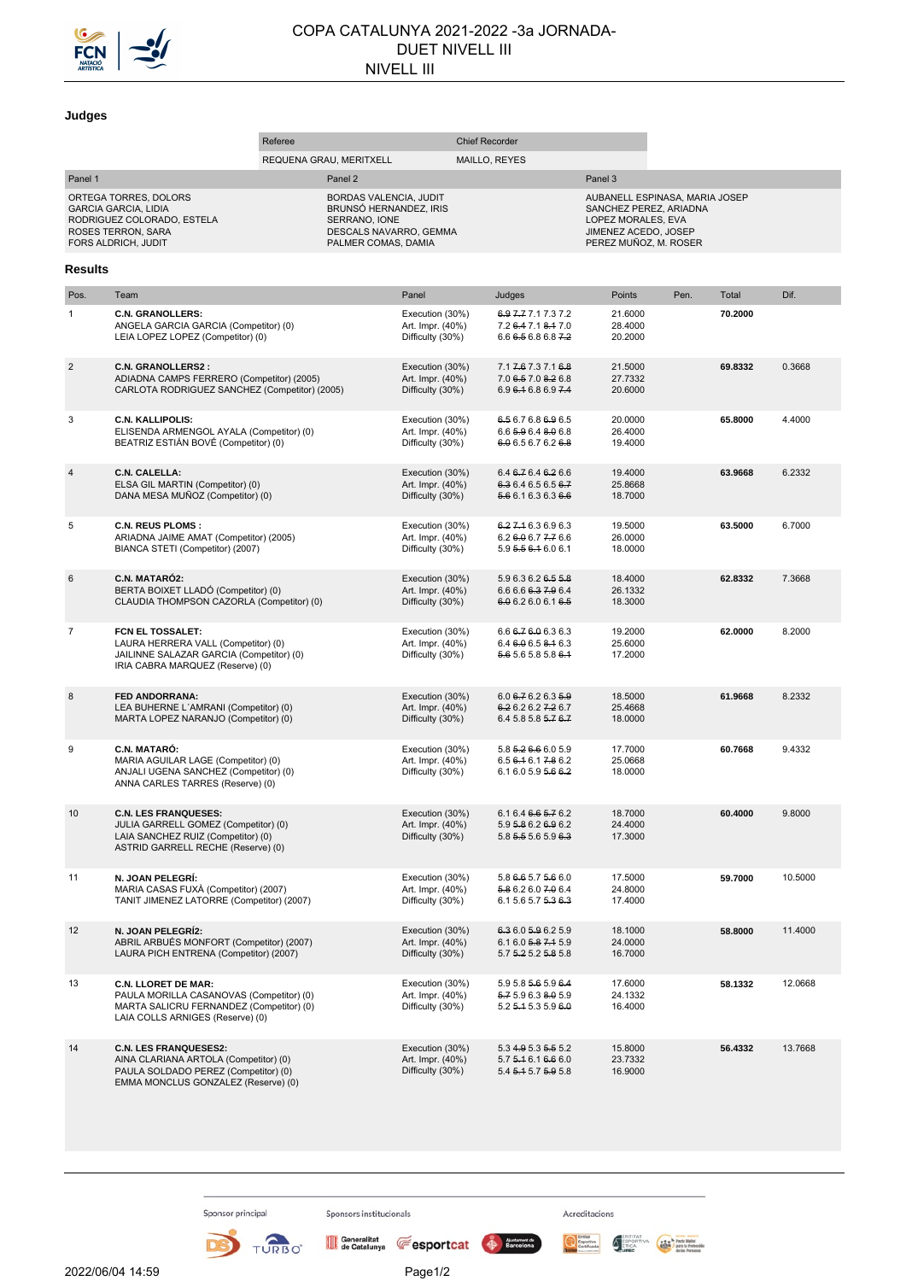

## COPA CATALUNYA 2021-2022 -3a JORNADA-DUET NIVELL III NIVELL III

## **Judges**

|                                                                                                                                 | Referee                                                                                                                                                |                         |                                                                                                                    | <b>Chief Recorder</b>                                   |               |                                                                    |                                                                                                                                 |      |         |         |
|---------------------------------------------------------------------------------------------------------------------------------|--------------------------------------------------------------------------------------------------------------------------------------------------------|-------------------------|--------------------------------------------------------------------------------------------------------------------|---------------------------------------------------------|---------------|--------------------------------------------------------------------|---------------------------------------------------------------------------------------------------------------------------------|------|---------|---------|
|                                                                                                                                 |                                                                                                                                                        | REQUENA GRAU, MERITXELL |                                                                                                                    |                                                         | MAILLO, REYES |                                                                    |                                                                                                                                 |      |         |         |
| Panel 1                                                                                                                         |                                                                                                                                                        |                         | Panel 2                                                                                                            |                                                         |               |                                                                    | Panel 3                                                                                                                         |      |         |         |
| ORTEGA TORRES, DOLORS<br><b>GARCIA GARCIA, LIDIA</b><br>RODRIGUEZ COLORADO, ESTELA<br>ROSES TERRON, SARA<br>FORS ALDRICH, JUDIT |                                                                                                                                                        |                         | BORDAS VALENCIA, JUDIT<br>BRUNSÓ HERNANDEZ, IRIS<br>SERRANO, IONE<br>DESCALS NAVARRO, GEMMA<br>PALMER COMAS, DAMIA |                                                         |               |                                                                    | AUBANELL ESPINASA, MARIA JOSEP<br>SANCHEZ PEREZ, ARIADNA<br>LOPEZ MORALES, EVA<br>JIMENEZ ACEDO, JOSEP<br>PEREZ MUÑOZ, M. ROSER |      |         |         |
| Results                                                                                                                         |                                                                                                                                                        |                         |                                                                                                                    |                                                         |               |                                                                    |                                                                                                                                 |      |         |         |
| Pos.                                                                                                                            | Team                                                                                                                                                   |                         |                                                                                                                    | Panel                                                   |               | Judges                                                             | Points                                                                                                                          | Pen. | Total   | Dif.    |
| 1                                                                                                                               | <b>C.N. GRANOLLERS:</b><br>ANGELA GARCIA GARCIA (Competitor) (0)<br>LEIA LOPEZ LOPEZ (Competitor) (0)                                                  |                         |                                                                                                                    | Execution (30%)<br>Art. Impr. (40%)<br>Difficulty (30%) |               | 6.9 7.7 7.1 7.3 7.2<br>7.2 6.4 7.1 8.4 7.0<br>6.666568687.2        | 21.6000<br>28.4000<br>20.2000                                                                                                   |      | 70.2000 |         |
| $\overline{2}$                                                                                                                  | <b>C.N. GRANOLLERS2:</b><br>ADIADNA CAMPS FERRERO (Competitor) (2005)<br>CARLOTA RODRIGUEZ SANCHEZ (Competitor) (2005)                                 |                         |                                                                                                                    | Execution (30%)<br>Art. Impr. (40%)<br>Difficulty (30%) |               | 7.1 7.6 7.3 7.1 6.8<br>7.0 6.5 7.0 8.2 6.8<br>6.9 6.4 6.8 6.9 7.4  | 21.5000<br>27.7332<br>20.6000                                                                                                   |      | 69.8332 | 0.3668  |
| 3                                                                                                                               | <b>C.N. KALLIPOLIS:</b><br>ELISENDA ARMENGOL AYALA (Competitor) (0)<br>BEATRIZ ESTIÁN BOVÉ (Competitor) (0)                                            |                         |                                                                                                                    | Execution (30%)<br>Art. Impr. (40%)<br>Difficulty (30%) |               | 6.5 6.7 6.8 6.9 6.5<br>6.6 5.9 6.4 8.0 6.8<br>6.0 6.5 6.7 6.2 6.8  | 20.0000<br>26.4000<br>19.4000                                                                                                   |      | 65.8000 | 4.4000  |
| 4                                                                                                                               | C.N. CALELLA:<br>ELSA GIL MARTIN (Competitor) (0)<br>DANA MESA MUÑOZ (Competitor) (0)                                                                  |                         |                                                                                                                    | Execution (30%)<br>Art. Impr. (40%)<br>Difficulty (30%) |               | 6.4 6.7 6.4 6.2 6.6<br>6.3 6.4 6.5 6.5 6.7<br>5.6 6.1 6.3 6.3 6.6  | 19.4000<br>25.8668<br>18.7000                                                                                                   |      | 63.9668 | 6.2332  |
| 5                                                                                                                               | <b>C.N. REUS PLOMS:</b><br>ARIADNA JAIME AMAT (Competitor) (2005)<br>BIANCA STETI (Competitor) (2007)                                                  |                         |                                                                                                                    | Execution (30%)<br>Art. Impr. (40%)<br>Difficulty (30%) |               | 6.27.16.36.96.3<br>6.2606.77776.6<br>5.9 5.5 6.4 6.0 6.1           | 19.5000<br>26.0000<br>18.0000                                                                                                   |      | 63.5000 | 6.7000  |
| 6                                                                                                                               | C.N. MATARÓ2:<br>BERTA BOIXET LLADÓ (Competitor) (0)<br>CLAUDIA THOMPSON CAZORLA (Competitor) (0)                                                      |                         |                                                                                                                    | Execution (30%)<br>Art. Impr. (40%)<br>Difficulty (30%) |               | 5.9 6.3 6.2 6.5 5.8<br>6.6 6.6 6.3 7.9 6.4<br>6.0 6.2 6.0 6.1 6.5  | 18.4000<br>26.1332<br>18.3000                                                                                                   |      | 62.8332 | 7.3668  |
| $\overline{7}$                                                                                                                  | FCN EL TOSSALET:<br>LAURA HERRERA VALL (Competitor) (0)<br>JAILINNE SALAZAR GARCIA (Competitor) (0)<br>IRIA CABRA MARQUEZ (Reserve) (0)                |                         |                                                                                                                    | Execution (30%)<br>Art. Impr. (40%)<br>Difficulty (30%) |               | 6.6 6.7 6.0 6.3 6.3<br>6.46.06.58.16.3<br>5.6 5.6 5.8 5.8 6.4      | 19.2000<br>25.6000<br>17.2000                                                                                                   |      | 62.0000 | 8.2000  |
| 8                                                                                                                               | FED ANDORRANA:<br>LEA BUHERNE L'AMRANI (Competitor) (0)<br>MARTA LOPEZ NARANJO (Competitor) (0)                                                        |                         |                                                                                                                    | Execution (30%)<br>Art. Impr. (40%)<br>Difficulty (30%) |               | $6.06 - 76.2635 - 9$<br>6.2 6.2 6.2 7.2 6.7<br>6.4 5.8 5.8 5.7 6.7 | 18.5000<br>25.4668<br>18.0000                                                                                                   |      | 61.9668 | 8.2332  |
| 9                                                                                                                               | C.N. MATARÓ:<br>MARIA AGUILAR LAGE (Competitor) (0)<br>ANJALI UGENA SANCHEZ (Competitor) (0)<br>ANNA CARLES TARRES (Reserve) (0)                       |                         |                                                                                                                    | Execution (30%)<br>Art. Impr. (40%)<br>Difficulty (30%) |               | 5.8 5.2 6.6 6.0 5.9<br>6.5 6.4 6.1 7.8 6.2<br>6.1 6.0 5.9 5.6 6.2  | 17.7000<br>25.0668<br>18.0000                                                                                                   |      | 60.7668 | 9.4332  |
| 10                                                                                                                              | <b>C.N. LES FRANQUESES:</b><br>JULIA GARRELL GOMEZ (Competitor) (0)<br>LAIA SANCHEZ RUIZ (Competitor) (0)<br>ASTRID GARRELL RECHE (Reserve) (0)        |                         |                                                                                                                    | Execution (30%)<br>Art. Impr. (40%)<br>Difficulty (30%) |               | 6.1 6.4 6.6 5.7 6.2<br>5.9 5.8 6.2 6.9 6.2<br>5.8 5.5 5.6 5.9 6.3  | 18.7000<br>24.4000<br>17.3000                                                                                                   |      | 60.4000 | 9.8000  |
| 11                                                                                                                              | N. JOAN PELEGRÍ:<br>MARIA CASAS FUXÀ (Competitor) (2007)<br>TANIT JIMENEZ LATORRE (Competitor) (2007)                                                  |                         |                                                                                                                    | Execution (30%)<br>Art. Impr. (40%)<br>Difficulty (30%) |               | 5.8 6.6 5.7 5.6 6.0<br>5.8 6.2 6.0 7.0 6.4<br>6.1 5.6 5.7 5.3 6.3  | 17.5000<br>24.8000<br>17.4000                                                                                                   |      | 59.7000 | 10.5000 |
| 12                                                                                                                              | N. JOAN PELEGRÍ2:<br>ABRIL ARBUÉS MONFORT (Competitor) (2007)<br>LAURA PICH ENTRENA (Competitor) (2007)                                                |                         |                                                                                                                    | Execution (30%)<br>Art. Impr. (40%)<br>Difficulty (30%) |               | 6.3 6.0 5.9 6.2 5.9<br>6.16.05.87.45.9<br>5.7 5.2 5.2 5.8 5.8      | 18.1000<br>24.0000<br>16.7000                                                                                                   |      | 58.8000 | 11.4000 |
| 13                                                                                                                              | <b>C.N. LLORET DE MAR:</b><br>PAULA MORILLA CASANOVAS (Competitor) (0)<br>MARTA SALICRU FERNANDEZ (Competitor) (0)<br>LAIA COLLS ARNIGES (Reserve) (0) |                         |                                                                                                                    | Execution (30%)<br>Art. Impr. (40%)<br>Difficulty (30%) |               | 5.9 5.8 5.6 5.9 6.4<br>5.7 5.9 6.3 8.0 5.9<br>5.2 5.4 5.3 5.9 6.0  | 17.6000<br>24.1332<br>16.4000                                                                                                   |      | 58.1332 | 12.0668 |
| 14                                                                                                                              | <b>C.N. LES FRANQUESES2:</b><br>AINA CLARIANA ARTOLA (Competitor) (0)<br>PAULA SOLDADO PEREZ (Competitor) (0)<br>EMMA MONCLUS GONZALEZ (Reserve) (0)   |                         |                                                                                                                    | Execution (30%)<br>Art. Impr. (40%)<br>Difficulty (30%) |               | 5.3 4.9 5.3 5.5 5.2<br>5.7 5.4 6.1 6.6 6.0<br>5.4 5.4 5.7 5.9 5.8  | 15.8000<br>23.7332<br>16.9000                                                                                                   |      | 56.4332 | 13.7668 |

Sponsor principal

D

TURBO

Sponsors institucionals

Acreditacions

Exportive ENTITAT<br>Certificate Certification (SPORTIVA Parte light)<br>Certificate (SPORTIVA Particular Petropolis)<br>In the Hotspan Particular (SPORTIVA PARTICULAR PARTICULAR PARTICULAR PARTICULAR PARTICULAR PARTICULAR PARTICUL